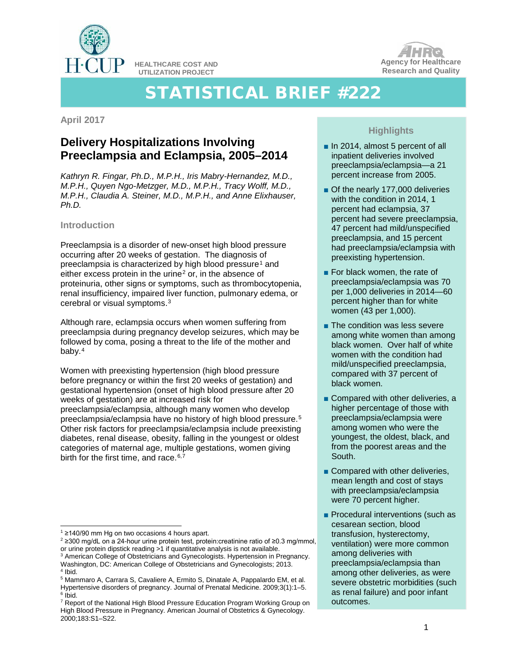

**HEALTHCARE COST AND UTILIZATION PROJECT**

# STATISTICAL BRIEF #222

**April 2017**

# **Delivery Hospitalizations Involving Preeclampsia and Eclampsia, 2005–2014**

*Kathryn R. Fingar, Ph.D., M.P.H., Iris Mabry-Hernandez, M.D., M.P.H., Quyen Ngo-Metzger, M.D., M.P.H., Tracy Wolff, M.D., M.P.H., Claudia A. Steiner, M.D., M.P.H., and Anne Elixhauser, Ph.D.* 

# **Introduction**

Preeclampsia is a disorder of new-onset high blood pressure occurring after 20 weeks of gestation. The diagnosis of preeclampsia is characterized by high blood pressure<sup>[1](#page-0-0)</sup> and either excess protein in the urine<sup>[2](#page-0-1)</sup> or, in the absence of proteinuria, other signs or symptoms, such as thrombocytopenia, renal insufficiency, impaired liver function, pulmonary edema, or cerebral or visual symptoms.[3](#page-0-2)

Although rare, eclampsia occurs when women suffering from preeclampsia during pregnancy develop seizures, which may be followed by coma, posing a threat to the life of the mother and baby.[4](#page-0-3)

Women with preexisting hypertension (high blood pressure before pregnancy or within the first 20 weeks of gestation) and gestational hypertension (onset of high blood pressure after 20 weeks of gestation) are at increased risk for preeclampsia/eclampsia, although many women who develop preeclampsia/eclampsia have no history of high blood pressure.[5](#page-0-4)  Other risk factors for preeclampsia/eclampsia include preexisting diabetes, renal disease, obesity, falling in the youngest or oldest categories of maternal age, multiple gestations, women giving birth for the first time, and race.  $6,7$  $6,7$ 

<span id="page-0-1"></span><span id="page-0-0"></span><sup>2</sup> ≥300 mg/dL on a 24-hour urine protein test, protein:creatinine ratio of ≥0.3 mg/mmol, or urine protein dipstick reading >1 if quantitative analysis is not available.



**Agency for Healthcare Research and Quality**

- In 2014, almost 5 percent of all inpatient deliveries involved preeclampsia/eclampsia—a 21 percent increase from 2005.
- Of the nearly 177,000 deliveries with the condition in 2014, 1 percent had eclampsia, 37 percent had severe preeclampsia, 47 percent had mild/unspecified preeclampsia, and 15 percent had preeclampsia/eclampsia with preexisting hypertension.
- For black women, the rate of preeclampsia/eclampsia was 70 per 1,000 deliveries in 2014—60 percent higher than for white women (43 per 1,000).
- The condition was less severe among white women than among black women. Over half of white women with the condition had mild/unspecified preeclampsia, compared with 37 percent of black women.
- Compared with other deliveries, a higher percentage of those with preeclampsia/eclampsia were among women who were the youngest, the oldest, black, and from the poorest areas and the South.
- Compared with other deliveries, mean length and cost of stays with preeclampsia/eclampsia were 70 percent higher.
- Procedural interventions (such as cesarean section, blood transfusion, hysterectomy, ventilation) were more common among deliveries with preeclampsia/eclampsia than among other deliveries, as were severe obstetric morbidities (such as renal failure) and poor infant outcomes.

 <sup>1</sup> ≥140/90 mm Hg on two occasions 4 hours apart.

<span id="page-0-2"></span><sup>&</sup>lt;sup>3</sup> American College of Obstetricians and Gynecologists. Hypertension in Pregnancy. Washington, DC: American College of Obstetricians and Gynecologists; 2013. <sup>4</sup> Ibid.

<span id="page-0-4"></span><span id="page-0-3"></span><sup>&</sup>lt;sup>5</sup> Mammaro A, Carrara S, Cavaliere A, Ermito S, Dinatale A, Pappalardo EM, et al. Hypertensive disorders of pregnancy. Journal of Prenatal Medicine. 2009;3(1):1–5.  $6$  Ibid.

<span id="page-0-6"></span><span id="page-0-5"></span><sup>7</sup> Report of the National High Blood Pressure Education Program Working Group on High Blood Pressure in Pregnancy. American Journal of Obstetrics & Gynecology. 2000;183:S1–S22.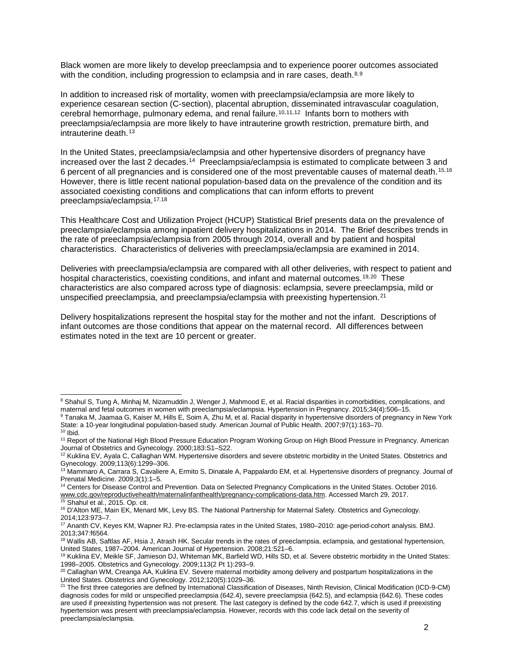Black women are more likely to develop preeclampsia and to experience poorer outcomes associated with the condition, including progression to eclampsia and in rare cases, death. $8,9$  $8,9$  $8,9$ 

In addition to increased risk of mortality, women with preeclampsia/eclampsia are more likely to experience cesarean section (C-section), placental abruption, disseminated intravascular coagulation, cerebral hemorrhage, pulmonary edema, and renal failure.<sup>[10](#page-1-2),[11,](#page-1-3)[12](#page-1-4)</sup> Infants born to mothers with preeclampsia/eclampsia are more likely to have intrauterine growth restriction, premature birth, and intrauterine death.[13](#page-1-5)

In the United States, preeclampsia/eclampsia and other hypertensive disorders of pregnancy have increased over the last 2 decades.<sup>[14](#page-1-6)</sup> Preeclampsia/eclampsia is estimated to complicate between 3 and 6 percent of all pregnancies and is considered one of the most preventable causes of maternal death.[15](#page-1-7),[16](#page-1-8) However, there is little recent national population-based data on the prevalence of the condition and its associated coexisting conditions and complications that can inform efforts to prevent preeclampsia/eclampsia.[17,](#page-1-9)[18](#page-1-10)

This Healthcare Cost and Utilization Project (HCUP) Statistical Brief presents data on the prevalence of preeclampsia/eclampsia among inpatient delivery hospitalizations in 2014. The Brief describes trends in the rate of preeclampsia/eclampsia from 2005 through 2014, overall and by patient and hospital characteristics. Characteristics of deliveries with preeclampsia/eclampsia are examined in 2014.

Deliveries with preeclampsia/eclampsia are compared with all other deliveries, with respect to patient and hospital characteristics, coexisting conditions, and infant and maternal outcomes.<sup>[19](#page-1-11),20</sup> These characteristics are also compared across type of diagnosis: eclampsia, severe preeclampsia, mild or unspecified preeclampsia, and preeclampsia/eclampsia with preexisting hypertension.<sup>[21](#page-1-13)</sup>

Delivery hospitalizations represent the hospital stay for the mother and not the infant. Descriptions of infant outcomes are those conditions that appear on the maternal record. All differences between estimates noted in the text are 10 percent or greater.

<span id="page-1-0"></span><sup>8</sup> Shahul S, Tung A, Minhaj M, Nizamuddin J, Wenger J, Mahmood E, et al. Racial disparities in comorbidities, complications, and maternal and fetal outcomes in women with preeclampsia/eclampsia. Hypertension in Pregnancy. 2015;34(4):506–15.

<span id="page-1-1"></span><sup>9</sup> Tanaka M, Jaamaa G, Kaiser M, Hills E, Soim A, Zhu M, et al. Racial disparity in hypertensive disorders of pregnancy in New York State: a 10-year longitudinal population-based study. American Journal of Public Health. 2007;97(1):163–70.  $10$  Ibid.

<span id="page-1-3"></span><span id="page-1-2"></span><sup>&</sup>lt;sup>11</sup> Report of the National High Blood Pressure Education Program Working Group on High Blood Pressure in Pregnancy. American Journal of Obstetrics and Gynecology. 2000;183:S1–S22.

<span id="page-1-4"></span> $12$  Kuklina EV, Ayala C, Callaghan WM. Hypertensive disorders and severe obstetric morbidity in the United States. Obstetrics and Gynecology. 2009;113(6):1299–306.

<span id="page-1-5"></span><sup>13</sup> Mammaro A, Carrara S, Cavaliere A, Ermito S, Dinatale A, Pappalardo EM, et al. Hypertensive disorders of pregnancy. Journal of Prenatal Medicine. 2009;3(1):1–5.

<span id="page-1-6"></span><sup>14</sup> Centers for Disease Control and Prevention. Data on Selected Pregnancy Complications in the United States. October 2016. [www.cdc.gov/reproductivehealth/maternalinfanthealth/pregnancy-complications-data.htm.](http://www.cdc.gov/reproductivehealth/maternalinfanthealth/pregnancy-complications-data.htm) Accessed March 29, 2017.

<sup>15</sup> Shahul et al., 2015. Op. cit.

<span id="page-1-8"></span><span id="page-1-7"></span><sup>&</sup>lt;sup>16</sup> D'Alton ME, Main EK, Menard MK, Levy BS. The National Partnership for Maternal Safety. Obstetrics and Gynecology. 2014;123:973–7.

<span id="page-1-9"></span><sup>17</sup> Ananth CV, Keyes KM, Wapner RJ. Pre-eclampsia rates in the United States, 1980–2010: age-period-cohort analysis. BMJ. 2013;347:f6564.

<span id="page-1-10"></span><sup>&</sup>lt;sup>18</sup> Wallis AB, Saftlas AF, Hsia J, Atrash HK. Secular trends in the rates of preeclampsia, eclampsia, and gestational hypertension, United States, 1987–2004. American Journal of Hypertension. 2008;21:521–6.

<span id="page-1-11"></span><sup>&</sup>lt;sup>19</sup> Kuklina EV, Meikle SF, Jamieson DJ, Whiteman MK, Barfield WD, Hills SD, et al. Severe obstetric morbidity in the United States: 1998–2005. Obstetrics and Gynecology. 2009;113(2 Pt 1):293–9.

<span id="page-1-12"></span><sup>&</sup>lt;sup>20</sup> Callaghan WM, Creanga AA, Kuklina EV. Severe maternal morbidity among delivery and postpartum hospitalizations in the United States. Obstetrics and Gynecology. 2012;120(5):1029–36.

<span id="page-1-13"></span><sup>21</sup> The first three categories are defined by International Classification of Diseases, Ninth Revision, Clinical Modification (ICD-9-CM) diagnosis codes for mild or unspecified preeclampsia (642.4), severe preeclampsia (642.5), and eclampsia (642.6). These codes are used if preexisting hypertension was not present. The last category is defined by the code 642.7, which is used if preexisting hypertension was present with preeclampsia/eclampsia. However, records with this code lack detail on the severity of preeclampsia/eclampsia.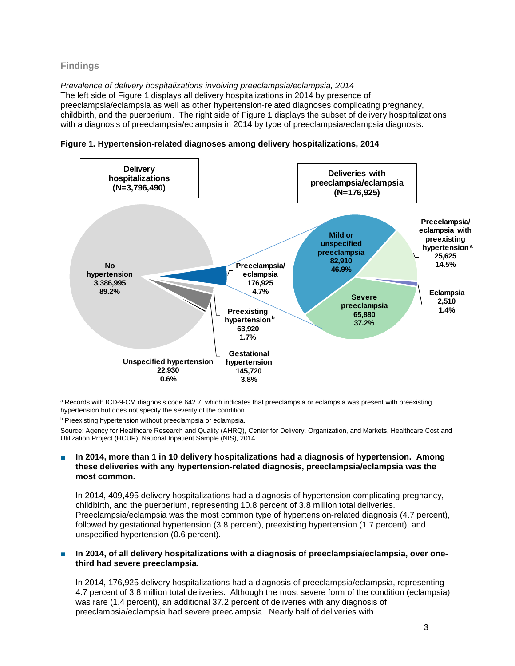# **Findings**

*Prevalence of delivery hospitalizations involving preeclampsia/eclampsia, 2014* The left side of Figure 1 displays all delivery hospitalizations in 2014 by presence of preeclampsia/eclampsia as well as other hypertension-related diagnoses complicating pregnancy, childbirth, and the puerperium. The right side of Figure 1 displays the subset of delivery hospitalizations with a diagnosis of preeclampsia/eclampsia in 2014 by type of preeclampsia/eclampsia diagnosis.





a Records with ICD-9-CM diagnosis code 642.7, which indicates that preeclampsia or eclampsia was present with preexisting hypertension but does not specify the severity of the condition.

**b** Preexisting hypertension without preeclampsia or eclampsia.

Source: Agency for Healthcare Research and Quality (AHRQ), Center for Delivery, Organization, and Markets, Healthcare Cost and Utilization Project (HCUP), National Inpatient Sample (NIS), 2014

#### In 2014, more than 1 in 10 delivery hospitalizations had a diagnosis of hypertension. Among **these deliveries with any hypertension-related diagnosis, preeclampsia/eclampsia was the most common.**

In 2014, 409,495 delivery hospitalizations had a diagnosis of hypertension complicating pregnancy, childbirth, and the puerperium, representing 10.8 percent of 3.8 million total deliveries. Preeclampsia/eclampsia was the most common type of hypertension-related diagnosis (4.7 percent), followed by gestational hypertension (3.8 percent), preexisting hypertension (1.7 percent), and unspecified hypertension (0.6 percent).

#### In 2014, of all delivery hospitalizations with a diagnosis of preeclampsia/eclampsia, over one**third had severe preeclampsia.**

In 2014, 176,925 delivery hospitalizations had a diagnosis of preeclampsia/eclampsia, representing 4.7 percent of 3.8 million total deliveries. Although the most severe form of the condition (eclampsia) was rare (1.4 percent), an additional 37.2 percent of deliveries with any diagnosis of preeclampsia/eclampsia had severe preeclampsia. Nearly half of deliveries with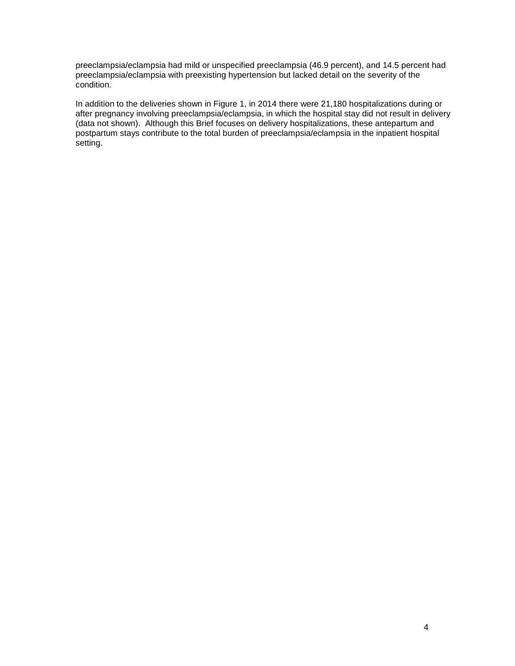preeclampsia/eclampsia had mild or unspecified preeclampsia (46.9 percent), and 14.5 percent had preeclampsia/eclampsia with preexisting hypertension but lacked detail on the severity of the condition.

In addition to the deliveries shown in Figure 1, in 2014 there were 21,180 hospitalizations during or after pregnancy involving preeclampsia/eclampsia, in which the hospital stay did not result in delivery (data not shown). Although this Brief focuses on delivery hospitalizations, these antepartum and postpartum stays contribute to the total burden of preeclampsia/eclampsia in the inpatient hospital setting.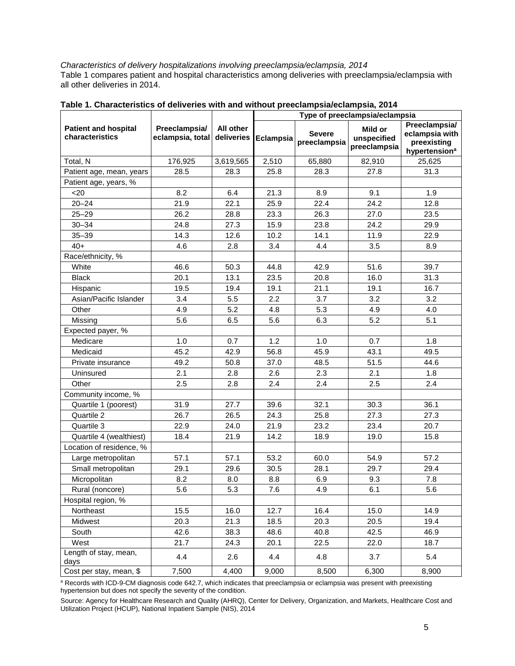# *Characteristics of delivery hospitalizations involving preeclampsia/eclampsia, 2014*

Table 1 compares patient and hospital characteristics among deliveries with preeclampsia/eclampsia with all other deliveries in 2014.

|                                                |                                   |                         | Type of preeclampsia/eclampsia |                               |                                        |                                                                             |
|------------------------------------------------|-----------------------------------|-------------------------|--------------------------------|-------------------------------|----------------------------------------|-----------------------------------------------------------------------------|
| <b>Patient and hospital</b><br>characteristics | Preeclampsia/<br>eclampsia, total | All other<br>deliveries | Eclampsia                      | <b>Severe</b><br>preeclampsia | Mild or<br>unspecified<br>preeclampsia | Preeclampsia/<br>eclampsia with<br>preexisting<br>hypertension <sup>a</sup> |
| Total, N                                       | 176,925                           | 3,619,565               | 2,510                          | 65,880                        | 82,910                                 | 25,625                                                                      |
| Patient age, mean, years                       | 28.5                              | 28.3                    | 25.8                           | 28.3                          | 27.8                                   | 31.3                                                                        |
| Patient age, years, %                          |                                   |                         |                                |                               |                                        |                                                                             |
| $20$                                           | 8.2                               | 6.4                     | 21.3                           | 8.9                           | 9.1                                    | 1.9                                                                         |
| $20 - 24$                                      | 21.9                              | 22.1                    | 25.9                           | 22.4                          | 24.2                                   | 12.8                                                                        |
| $25 - 29$                                      | 26.2                              | 28.8                    | 23.3                           | 26.3                          | 27.0                                   | 23.5                                                                        |
| $30 - 34$                                      | 24.8                              | 27.3                    | 15.9                           | 23.8                          | 24.2                                   | 29.9                                                                        |
| $35 - 39$                                      | 14.3                              | 12.6                    | 10.2                           | 14.1                          | 11.9                                   | 22.9                                                                        |
| $40+$                                          | 4.6                               | 2.8                     | 3.4                            | 4.4                           | 3.5                                    | 8.9                                                                         |
| Race/ethnicity, %                              |                                   |                         |                                |                               |                                        |                                                                             |
| White                                          | 46.6                              | 50.3                    | 44.8                           | 42.9                          | 51.6                                   | 39.7                                                                        |
| <b>Black</b>                                   | 20.1                              | 13.1                    | 23.5                           | 20.8                          | 16.0                                   | 31.3                                                                        |
| Hispanic                                       | 19.5                              | 19.4                    | 19.1                           | 21.1                          | 19.1                                   | 16.7                                                                        |
| Asian/Pacific Islander                         | 3.4                               | 5.5                     | 2.2                            | 3.7                           | 3.2                                    | 3.2                                                                         |
| Other                                          | 4.9                               | 5.2                     | 4.8                            | 5.3                           | 4.9                                    | 4.0                                                                         |
| Missing                                        | 5.6                               | 6.5                     | 5.6                            | 6.3                           | 5.2                                    | 5.1                                                                         |
| Expected payer, %                              |                                   |                         |                                |                               |                                        |                                                                             |
| Medicare                                       | 1.0                               | 0.7                     | 1.2                            | 1.0                           | 0.7                                    | 1.8                                                                         |
| Medicaid                                       | 45.2                              | 42.9                    | 56.8                           | 45.9                          | 43.1                                   | 49.5                                                                        |
| Private insurance                              | 49.2                              | 50.8                    | 37.0                           | 48.5                          | 51.5                                   | 44.6                                                                        |
| Uninsured                                      | 2.1                               | 2.8                     | 2.6                            | 2.3                           | 2.1                                    | 1.8                                                                         |
| Other                                          | 2.5                               | 2.8                     | 2.4                            | 2.4                           | 2.5                                    | 2.4                                                                         |
| Community income, %                            |                                   |                         |                                |                               |                                        |                                                                             |
| Quartile 1 (poorest)                           | 31.9                              | 27.7                    | 39.6                           | 32.1                          | 30.3                                   | 36.1                                                                        |
| Quartile 2                                     | 26.7                              | 26.5                    | 24.3                           | 25.8                          | 27.3                                   | 27.3                                                                        |
| Quartile 3                                     | 22.9                              | 24.0                    | 21.9                           | 23.2                          | 23.4                                   | 20.7                                                                        |
| Quartile 4 (wealthiest)                        | 18.4                              | 21.9                    | 14.2                           | 18.9                          | 19.0                                   | 15.8                                                                        |
| Location of residence, %                       |                                   |                         |                                |                               |                                        |                                                                             |
| Large metropolitan                             | 57.1                              | 57.1                    | 53.2                           | 60.0                          | 54.9                                   | 57.2                                                                        |
| Small metropolitan                             | 29.1                              | 29.6                    | 30.5                           | 28.1                          | 29.7                                   | 29.4                                                                        |
| Micropolitan                                   | 8.2                               | 8.0                     | 8.8                            | 6.9                           | 9.3                                    | 7.8                                                                         |
| Rural (noncore)                                | 5.6                               | 5.3                     | 7.6                            | 4.9                           | 6.1                                    | 5.6                                                                         |
| Hospital region, %                             |                                   |                         |                                |                               |                                        |                                                                             |
| Northeast                                      | 15.5                              | 16.0                    | 12.7                           | 16.4                          | 15.0                                   | 14.9                                                                        |
| Midwest                                        | 20.3                              | 21.3                    | 18.5                           | 20.3                          | 20.5                                   | 19.4                                                                        |
| South                                          | 42.6                              | 38.3                    | 48.6                           | 40.8                          | 42.5                                   | 46.9                                                                        |
| West                                           | 21.7                              | 24.3                    | 20.1                           | 22.5                          | 22.0                                   | 18.7                                                                        |
| Length of stay, mean,<br>days                  | 4.4                               | 2.6                     | 4.4                            | 4.8                           | 3.7                                    | 5.4                                                                         |
| Cost per stay, mean, \$                        | 7,500                             | 4,400                   | 9,000                          | 8,500                         | 6,300                                  | 8,900                                                                       |

| Table 1. Characteristics of deliveries with and without preeclampsia/eclampsia, 2014 |  |
|--------------------------------------------------------------------------------------|--|
|--------------------------------------------------------------------------------------|--|

a Records with ICD-9-CM diagnosis code 642.7, which indicates that preeclampsia or eclampsia was present with preexisting hypertension but does not specify the severity of the condition.

Source: Agency for Healthcare Research and Quality (AHRQ), Center for Delivery, Organization, and Markets, Healthcare Cost and Utilization Project (HCUP), National Inpatient Sample (NIS), 2014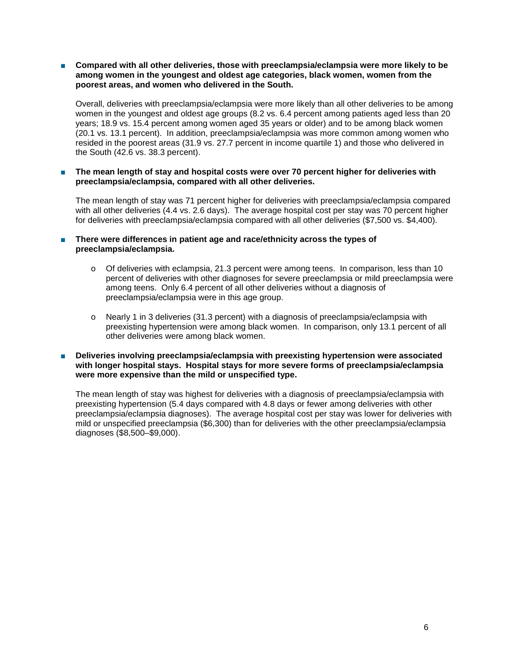■ Compared with all other deliveries, those with preeclampsia/eclampsia were more likely to be **among women in the youngest and oldest age categories, black women, women from the poorest areas, and women who delivered in the South.**

Overall, deliveries with preeclampsia/eclampsia were more likely than all other deliveries to be among women in the youngest and oldest age groups (8.2 vs. 6.4 percent among patients aged less than 20 years; 18.9 vs. 15.4 percent among women aged 35 years or older) and to be among black women (20.1 vs. 13.1 percent). In addition, preeclampsia/eclampsia was more common among women who resided in the poorest areas (31.9 vs. 27.7 percent in income quartile 1) and those who delivered in the South (42.6 vs. 38.3 percent).

The mean length of stay and hospital costs were over 70 percent higher for deliveries with **preeclampsia/eclampsia, compared with all other deliveries.**

The mean length of stay was 71 percent higher for deliveries with preeclampsia/eclampsia compared with all other deliveries (4.4 vs. 2.6 days). The average hospital cost per stay was 70 percent higher for deliveries with preeclampsia/eclampsia compared with all other deliveries (\$7,500 vs. \$4,400).

**There were differences in patient age and race/ethnicity across the types of preeclampsia/eclampsia.**

- o Of deliveries with eclampsia, 21.3 percent were among teens. In comparison, less than 10 percent of deliveries with other diagnoses for severe preeclampsia or mild preeclampsia were among teens. Only 6.4 percent of all other deliveries without a diagnosis of preeclampsia/eclampsia were in this age group.
- o Nearly 1 in 3 deliveries (31.3 percent) with a diagnosis of preeclampsia/eclampsia with preexisting hypertension were among black women. In comparison, only 13.1 percent of all other deliveries were among black women.
- Deliveries involving preeclampsia/eclampsia with preexisting hypertension were associated **with longer hospital stays. Hospital stays for more severe forms of preeclampsia/eclampsia were more expensive than the mild or unspecified type.**

The mean length of stay was highest for deliveries with a diagnosis of preeclampsia/eclampsia with preexisting hypertension (5.4 days compared with 4.8 days or fewer among deliveries with other preeclampsia/eclampsia diagnoses). The average hospital cost per stay was lower for deliveries with mild or unspecified preeclampsia (\$6,300) than for deliveries with the other preeclampsia/eclampsia diagnoses (\$8,500–\$9,000).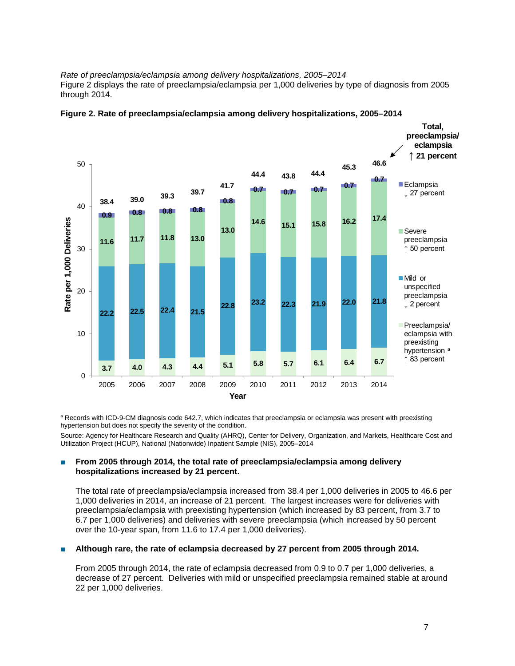*Rate of preeclampsia/eclampsia among delivery hospitalizations, 2005–2014*  Figure 2 displays the rate of preeclampsia/eclampsia per 1,000 deliveries by type of diagnosis from 2005 through 2014.





a Records with ICD-9-CM diagnosis code 642.7, which indicates that preeclampsia or eclampsia was present with preexisting hypertension but does not specify the severity of the condition.

Source: Agency for Healthcare Research and Quality (AHRQ), Center for Delivery, Organization, and Markets, Healthcare Cost and Utilization Project (HCUP), National (Nationwide) Inpatient Sample (NIS), 2005–2014

# ■ **From 2005 through 2014, the total rate of preeclampsia/eclampsia among delivery hospitalizations increased by 21 percent.**

The total rate of preeclampsia/eclampsia increased from 38.4 per 1,000 deliveries in 2005 to 46.6 per 1,000 deliveries in 2014, an increase of 21 percent. The largest increases were for deliveries with preeclampsia/eclampsia with preexisting hypertension (which increased by 83 percent, from 3.7 to 6.7 per 1,000 deliveries) and deliveries with severe preeclampsia (which increased by 50 percent over the 10-year span, from 11.6 to 17.4 per 1,000 deliveries).

# **■** Although rare, the rate of eclampsia decreased by 27 percent from 2005 through 2014.

From 2005 through 2014, the rate of eclampsia decreased from 0.9 to 0.7 per 1,000 deliveries, a decrease of 27 percent. Deliveries with mild or unspecified preeclampsia remained stable at around 22 per 1,000 deliveries.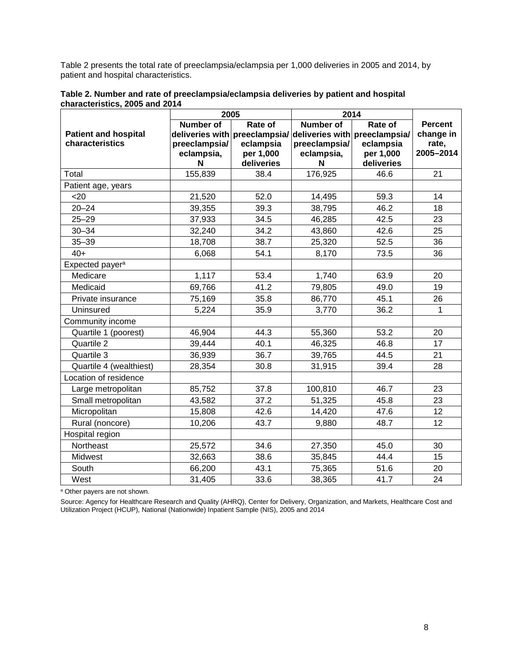Table 2 presents the total rate of preeclampsia/eclampsia per 1,000 deliveries in 2005 and 2014, by patient and hospital characteristics.

|                             | 2005             |            | 2014                                                        |            |                |
|-----------------------------|------------------|------------|-------------------------------------------------------------|------------|----------------|
|                             | <b>Number of</b> | Rate of    | <b>Number of</b>                                            | Rate of    | <b>Percent</b> |
| <b>Patient and hospital</b> |                  |            | deliveries with preeclampsia/ deliveries with preeclampsia/ |            | change in      |
| characteristics             | preeclampsia/    | eclampsia  | preeclampsia/                                               | eclampsia  | rate,          |
|                             | eclampsia,       | per 1,000  | eclampsia,                                                  | per 1,000  | 2005-2014      |
|                             | N                | deliveries | N                                                           | deliveries |                |
| Total                       | 155,839          | 38.4       | 176,925                                                     | 46.6       | 21             |
| Patient age, years          |                  |            |                                                             |            |                |
| $20$                        | 21,520           | 52.0       | 14,495                                                      | 59.3       | 14             |
| $20 - 24$                   | 39,355           | 39.3       | 38,795                                                      | 46.2       | 18             |
| $25 - 29$                   | 37,933           | 34.5       | 46,285                                                      | 42.5       | 23             |
| $30 - 34$                   | 32,240           | 34.2       | 43,860                                                      | 42.6       | 25             |
| $35 - 39$                   | 18,708           | 38.7       | 25,320                                                      | 52.5       | 36             |
| $40+$                       | 6,068            | 54.1       | 8,170                                                       | 73.5       | 36             |
| Expected payer <sup>a</sup> |                  |            |                                                             |            |                |
| Medicare                    | 1,117            | 53.4       | 1,740                                                       | 63.9       | 20             |
| Medicaid                    | 69,766           | 41.2       | 79,805                                                      | 49.0       | 19             |
| Private insurance           | 75,169           | 35.8       | 86,770                                                      | 45.1       | 26             |
| Uninsured                   | 5,224            | 35.9       | 3,770                                                       | 36.2       | 1              |
| Community income            |                  |            |                                                             |            |                |
| Quartile 1 (poorest)        | 46,904           | 44.3       | 55,360                                                      | 53.2       | 20             |
| Quartile 2                  | 39,444           | 40.1       | 46,325                                                      | 46.8       | 17             |
| Quartile 3                  | 36,939           | 36.7       | 39,765                                                      | 44.5       | 21             |
| Quartile 4 (wealthiest)     | 28,354           | 30.8       | 31,915                                                      | 39.4       | 28             |
| Location of residence       |                  |            |                                                             |            |                |
| Large metropolitan          | 85,752           | 37.8       | 100,810                                                     | 46.7       | 23             |
| Small metropolitan          | 43,582           | 37.2       | 51,325                                                      | 45.8       | 23             |
| Micropolitan                | 15,808           | 42.6       | 14,420                                                      | 47.6       | 12             |
| Rural (noncore)             | 10,206           | 43.7       | 9,880                                                       | 48.7       | 12             |
| Hospital region             |                  |            |                                                             |            |                |
| Northeast                   | 25,572           | 34.6       | 27,350                                                      | 45.0       | 30             |
| Midwest                     | 32,663           | 38.6       | 35,845                                                      | 44.4       | 15             |
| South                       | 66,200           | 43.1       | 75,365                                                      | 51.6       | 20             |
| West                        | 31,405           | 33.6       | 38,365                                                      | 41.7       | 24             |

**Table 2. Number and rate of preeclampsia/eclampsia deliveries by patient and hospital characteristics, 2005 and 2014**

<sup>a</sup> Other payers are not shown.

Source: Agency for Healthcare Research and Quality (AHRQ), Center for Delivery, Organization, and Markets, Healthcare Cost and Utilization Project (HCUP), National (Nationwide) Inpatient Sample (NIS), 2005 and 2014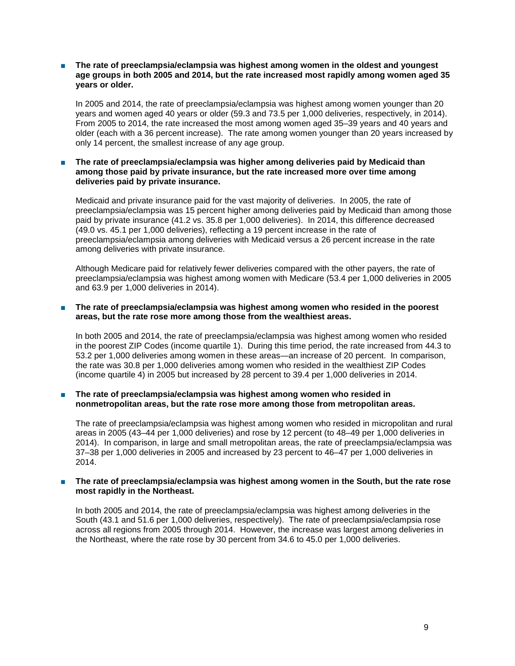#### The rate of preeclampsia/eclampsia was highest among women in the oldest and youngest **age groups in both 2005 and 2014, but the rate increased most rapidly among women aged 35 years or older.**

In 2005 and 2014, the rate of preeclampsia/eclampsia was highest among women younger than 20 years and women aged 40 years or older (59.3 and 73.5 per 1,000 deliveries, respectively, in 2014). From 2005 to 2014, the rate increased the most among women aged 35–39 years and 40 years and older (each with a 36 percent increase). The rate among women younger than 20 years increased by only 14 percent, the smallest increase of any age group.

#### ■ **The rate of preeclampsia/eclampsia was higher among deliveries paid by Medicaid than among those paid by private insurance, but the rate increased more over time among deliveries paid by private insurance.**

Medicaid and private insurance paid for the vast majority of deliveries.In 2005, the rate of preeclampsia/eclampsia was 15 percent higher among deliveries paid by Medicaid than among those paid by private insurance (41.2 vs. 35.8 per 1,000 deliveries). In 2014, this difference decreased (49.0 vs. 45.1 per 1,000 deliveries), reflecting a 19 percent increase in the rate of preeclampsia/eclampsia among deliveries with Medicaid versus a 26 percent increase in the rate among deliveries with private insurance.

Although Medicare paid for relatively fewer deliveries compared with the other payers, the rate of preeclampsia/eclampsia was highest among women with Medicare (53.4 per 1,000 deliveries in 2005 and 63.9 per 1,000 deliveries in 2014).

#### ■ The rate of preeclampsia/eclampsia was highest among women who resided in the poorest **areas, but the rate rose more among those from the wealthiest areas.**

In both 2005 and 2014, the rate of preeclampsia/eclampsia was highest among women who resided in the poorest ZIP Codes (income quartile 1). During this time period, the rate increased from 44.3 to 53.2 per 1,000 deliveries among women in these areas—an increase of 20 percent. In comparison, the rate was 30.8 per 1,000 deliveries among women who resided in the wealthiest ZIP Codes (income quartile 4) in 2005 but increased by 28 percent to 39.4 per 1,000 deliveries in 2014.

#### The rate of preeclampsia/eclampsia was highest among women who resided in **nonmetropolitan areas, but the rate rose more among those from metropolitan areas.**

The rate of preeclampsia/eclampsia was highest among women who resided in micropolitan and rural areas in 2005 (43–44 per 1,000 deliveries) and rose by 12 percent (to 48–49 per 1,000 deliveries in 2014). In comparison, in large and small metropolitan areas, the rate of preeclampsia/eclampsia was 37–38 per 1,000 deliveries in 2005 and increased by 23 percent to 46–47 per 1,000 deliveries in 2014.

#### ■ **The rate of preeclampsia/eclampsia was highest among women in the South, but the rate rose most rapidly in the Northeast.**

In both 2005 and 2014, the rate of preeclampsia/eclampsia was highest among deliveries in the South (43.1 and 51.6 per 1,000 deliveries, respectively). The rate of preeclampsia/eclampsia rose across all regions from 2005 through 2014. However, the increase was largest among deliveries in the Northeast, where the rate rose by 30 percent from 34.6 to 45.0 per 1,000 deliveries.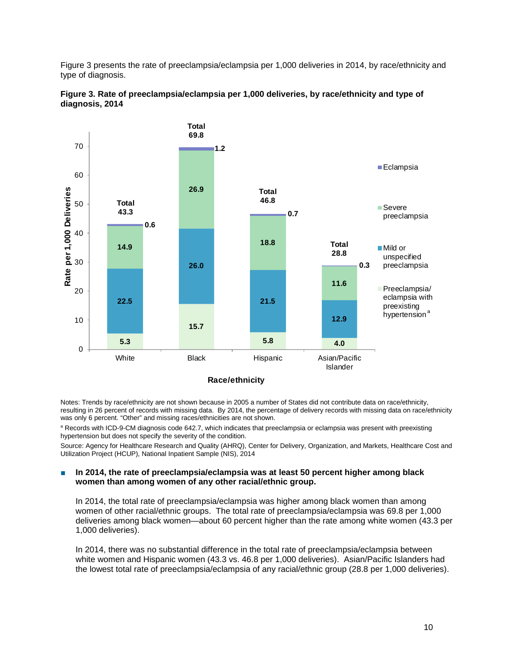Figure 3 presents the rate of preeclampsia/eclampsia per 1,000 deliveries in 2014, by race/ethnicity and type of diagnosis.





#### **Race/ethnicity**

Notes: Trends by race/ethnicity are not shown because in 2005 a number of States did not contribute data on race/ethnicity, resulting in 26 percent of records with missing data. By 2014, the percentage of delivery records with missing data on race/ethnicity was only 6 percent. "Other" and missing races/ethnicities are not shown.

a Records with ICD-9-CM diagnosis code 642.7, which indicates that preeclampsia or eclampsia was present with preexisting hypertension but does not specify the severity of the condition.

Source: Agency for Healthcare Research and Quality (AHRQ), Center for Delivery, Organization, and Markets, Healthcare Cost and Utilization Project (HCUP), National Inpatient Sample (NIS), 2014

#### In 2014, the rate of preeclampsia/eclampsia was at least 50 percent higher among black **women than among women of any other racial/ethnic group.**

In 2014, the total rate of preeclampsia/eclampsia was higher among black women than among women of other racial/ethnic groups. The total rate of preeclampsia/eclampsia was 69.8 per 1,000 deliveries among black women—about 60 percent higher than the rate among white women (43.3 per 1,000 deliveries).

In 2014, there was no substantial difference in the total rate of preeclampsia/eclampsia between white women and Hispanic women (43.3 vs. 46.8 per 1,000 deliveries). Asian/Pacific Islanders had the lowest total rate of preeclampsia/eclampsia of any racial/ethnic group (28.8 per 1,000 deliveries).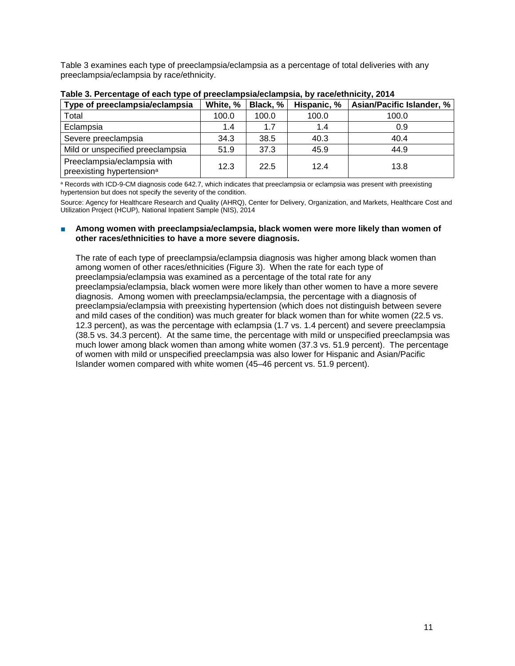Table 3 examines each type of preeclampsia/eclampsia as a percentage of total deliveries with any preeclampsia/eclampsia by race/ethnicity.

| . .<br>Type of preeclampsia/eclampsia                                | White, % | Black, % | Hispanic, % | Asian/Pacific Islander, % |
|----------------------------------------------------------------------|----------|----------|-------------|---------------------------|
| Total                                                                | 100.0    | 100.0    | 100.0       | 100.0                     |
| Eclampsia                                                            | 1.4      | 1.7      | 1.4         | 0.9                       |
| Severe preeclampsia                                                  | 34.3     | 38.5     | 40.3        | 40.4                      |
| Mild or unspecified preeclampsia                                     | 51.9     | 37.3     | 45.9        | 44.9                      |
| Preeclampsia/eclampsia with<br>preexisting hypertension <sup>a</sup> | 12.3     | 22.5     | 12.4        | 13.8                      |

**Table 3. Percentage of each type of preeclampsia/eclampsia, by race/ethnicity, 2014**

a Records with ICD-9-CM diagnosis code 642.7, which indicates that preeclampsia or eclampsia was present with preexisting hypertension but does not specify the severity of the condition.

Source: Agency for Healthcare Research and Quality (AHRQ), Center for Delivery, Organization, and Markets, Healthcare Cost and Utilization Project (HCUP), National Inpatient Sample (NIS), 2014

#### ■ **Among women with preeclampsia/eclampsia, black women were more likely than women of other races/ethnicities to have a more severe diagnosis.**

The rate of each type of preeclampsia/eclampsia diagnosis was higher among black women than among women of other races/ethnicities (Figure 3). When the rate for each type of preeclampsia/eclampsia was examined as a percentage of the total rate for any preeclampsia/eclampsia, black women were more likely than other women to have a more severe diagnosis. Among women with preeclampsia/eclampsia, the percentage with a diagnosis of preeclampsia/eclampsia with preexisting hypertension (which does not distinguish between severe and mild cases of the condition) was much greater for black women than for white women (22.5 vs. 12.3 percent), as was the percentage with eclampsia (1.7 vs. 1.4 percent) and severe preeclampsia (38.5 vs. 34.3 percent). At the same time, the percentage with mild or unspecified preeclampsia was much lower among black women than among white women (37.3 vs. 51.9 percent). The percentage of women with mild or unspecified preeclampsia was also lower for Hispanic and Asian/Pacific Islander women compared with white women (45–46 percent vs. 51.9 percent).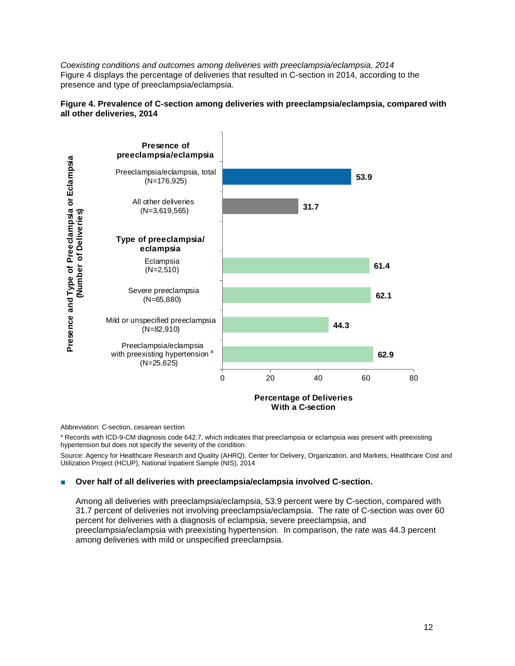*Coexisting conditions and outcomes among deliveries with preeclampsia/eclampsia, 2014* Figure 4 displays the percentage of deliveries that resulted in C-section in 2014, according to the presence and type of preeclampsia/eclampsia.





Abbreviation: C-section, cesarean section

a Records with ICD-9-CM diagnosis code 642.7, which indicates that preeclampsia or eclampsia was present with preexisting hypertension but does not specify the severity of the condition.

Source: Agency for Healthcare Research and Quality (AHRQ), Center for Delivery, Organization, and Markets, Healthcare Cost and Utilization Project (HCUP), National Inpatient Sample (NIS), 2014

#### Over half of all deliveries with preeclampsia/eclampsia involved C-section.

Among all deliveries with preeclampsia/eclampsia, 53.9 percent were by C-section, compared with 31.7 percent of deliveries not involving preeclampsia/eclampsia. The rate of C-section was over 60 percent for deliveries with a diagnosis of eclampsia, severe preeclampsia, and preeclampsia/eclampsia with preexisting hypertension. In comparison, the rate was 44.3 percent among deliveries with mild or unspecified preeclampsia.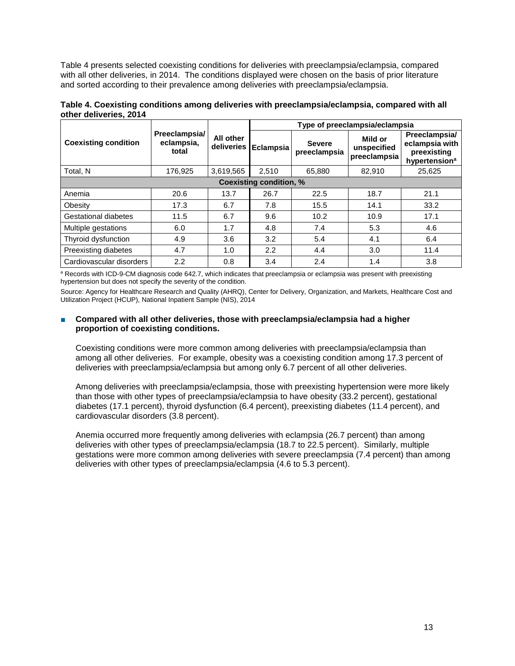Table 4 presents selected coexisting conditions for deliveries with preeclampsia/eclampsia, compared with all other deliveries, in 2014. The conditions displayed were chosen on the basis of prior literature and sorted according to their prevalence among deliveries with preeclampsia/eclampsia.

| Table 4. Coexisting conditions among deliveries with preeclampsia/eclampsia, compared with all |  |
|------------------------------------------------------------------------------------------------|--|
| other deliveries, 2014                                                                         |  |

|                                |                                      |                           | Type of preeclampsia/eclampsia |                               |                                        |                                                                             |
|--------------------------------|--------------------------------------|---------------------------|--------------------------------|-------------------------------|----------------------------------------|-----------------------------------------------------------------------------|
| <b>Coexisting condition</b>    | Preeclampsia/<br>eclampsia,<br>total | All other<br>deliveries I | <b>Eclampsia</b>               | <b>Severe</b><br>preeclampsia | Mild or<br>unspecified<br>preeclampsia | Preeclampsia/<br>eclampsia with<br>preexisting<br>hypertension <sup>a</sup> |
| Total. N                       | 176,925                              | 3,619,565                 | 2.510                          | 65.880                        | 82,910                                 | 25.625                                                                      |
| <b>Coexisting condition, %</b> |                                      |                           |                                |                               |                                        |                                                                             |
| Anemia                         | 20.6                                 | 13.7                      | 26.7                           | 22.5                          | 18.7                                   | 21.1                                                                        |
| Obesity                        | 17.3                                 | 6.7                       | 7.8                            | 15.5                          | 14.1                                   | 33.2                                                                        |
| <b>Gestational diabetes</b>    | 11.5                                 | 6.7                       | 9.6                            | 10.2                          | 10.9                                   | 17.1                                                                        |
| Multiple gestations            | 6.0                                  | 1.7                       | 4.8                            | 7.4                           | 5.3                                    | 4.6                                                                         |
| Thyroid dysfunction            | 4.9                                  | 3.6                       | 3.2                            | 5.4                           | 4.1                                    | 6.4                                                                         |
| Preexisting diabetes           | 4.7                                  | 1.0                       | 2.2                            | 4.4                           | 3.0                                    | 11.4                                                                        |
| Cardiovascular disorders       | 2.2                                  | 0.8                       | 3.4                            | 2.4                           | 1.4                                    | 3.8                                                                         |

a Records with ICD-9-CM diagnosis code 642.7, which indicates that preeclampsia or eclampsia was present with preexisting hypertension but does not specify the severity of the condition.

Source: Agency for Healthcare Research and Quality (AHRQ), Center for Delivery, Organization, and Markets, Healthcare Cost and Utilization Project (HCUP), National Inpatient Sample (NIS), 2014

#### Compared with all other deliveries, those with preeclampsia/eclampsia had a higher **proportion of coexisting conditions.**

Coexisting conditions were more common among deliveries with preeclampsia/eclampsia than among all other deliveries. For example, obesity was a coexisting condition among 17.3 percent of deliveries with preeclampsia/eclampsia but among only 6.7 percent of all other deliveries.

Among deliveries with preeclampsia/eclampsia, those with preexisting hypertension were more likely than those with other types of preeclampsia/eclampsia to have obesity (33.2 percent), gestational diabetes (17.1 percent), thyroid dysfunction (6.4 percent), preexisting diabetes (11.4 percent), and cardiovascular disorders (3.8 percent).

Anemia occurred more frequently among deliveries with eclampsia (26.7 percent) than among deliveries with other types of preeclampsia/eclampsia (18.7 to 22.5 percent). Similarly, multiple gestations were more common among deliveries with severe preeclampsia (7.4 percent) than among deliveries with other types of preeclampsia/eclampsia (4.6 to 5.3 percent).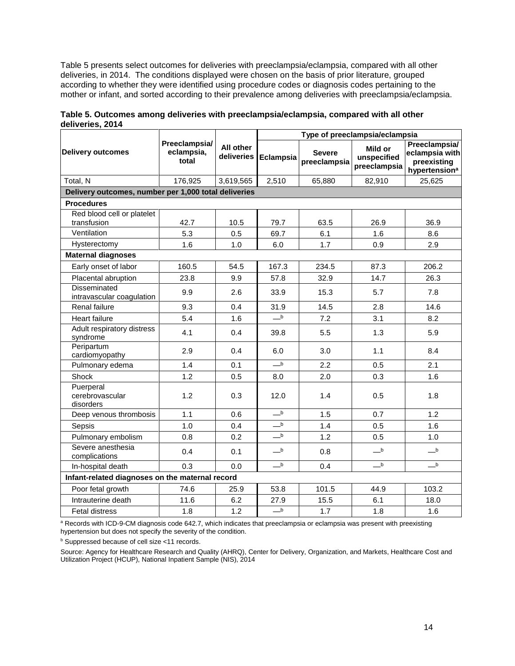Table 5 presents select outcomes for deliveries with preeclampsia/eclampsia, compared with all other deliveries, in 2014. The conditions displayed were chosen on the basis of prior literature, grouped according to whether they were identified using procedure codes or diagnosis codes pertaining to the mother or infant, and sorted according to their prevalence among deliveries with preeclampsia/eclampsia.

|                                                      |                                      |                         | Type of preeclampsia/eclampsia         |                               |                                        |                                                                             |
|------------------------------------------------------|--------------------------------------|-------------------------|----------------------------------------|-------------------------------|----------------------------------------|-----------------------------------------------------------------------------|
| <b>Delivery outcomes</b>                             | Preeclampsia/<br>eclampsia,<br>total | All other<br>deliveries | Eclampsia                              | <b>Severe</b><br>preeclampsia | Mild or<br>unspecified<br>preeclampsia | Preeclampsia/<br>eclampsia with<br>preexisting<br>hypertension <sup>a</sup> |
| Total, N                                             | 176,925                              | 3,619,565               | 2,510                                  | 65.880                        | 82.910                                 | 25.625                                                                      |
| Delivery outcomes, number per 1,000 total deliveries |                                      |                         |                                        |                               |                                        |                                                                             |
| <b>Procedures</b>                                    |                                      |                         |                                        |                               |                                        |                                                                             |
| Red blood cell or platelet<br>transfusion            | 42.7                                 | 10.5                    | 79.7                                   | 63.5                          | 26.9                                   | 36.9                                                                        |
| Ventilation                                          | 5.3                                  | 0.5                     | 69.7                                   | 6.1                           | 1.6                                    | 8.6                                                                         |
| Hysterectomy                                         | 1.6                                  | 1.0                     | 6.0                                    | 1.7                           | 0.9                                    | 2.9                                                                         |
| <b>Maternal diagnoses</b>                            |                                      |                         |                                        |                               |                                        |                                                                             |
| Early onset of labor                                 | 160.5                                | 54.5                    | 167.3                                  | 234.5                         | 87.3                                   | 206.2                                                                       |
| Placental abruption                                  | 23.8                                 | 9.9                     | 57.8                                   | 32.9                          | 14.7                                   | 26.3                                                                        |
| <b>Disseminated</b><br>intravascular coagulation     | 9.9                                  | 2.6                     | 33.9                                   | 15.3                          | 5.7                                    | 7.8                                                                         |
| Renal failure                                        | 9.3                                  | 0.4                     | 31.9                                   | 14.5                          | 2.8                                    | 14.6                                                                        |
| <b>Heart failure</b>                                 | 5.4                                  | 1.6                     | $\overline{\phantom{0}}^{\phantom{0}}$ | 7.2                           | 3.1                                    | 8.2                                                                         |
| Adult respiratory distress<br>syndrome               | 4.1                                  | 0.4                     | 39.8                                   | 5.5                           | 1.3                                    | 5.9                                                                         |
| Peripartum<br>cardiomyopathy                         | 2.9                                  | 0.4                     | 6.0                                    | 3.0                           | 1.1                                    | 8.4                                                                         |
| Pulmonary edema                                      | 1.4                                  | 0.1                     | $\overline{\phantom{0}}^{\phantom{0}}$ | 2.2                           | 0.5                                    | 2.1                                                                         |
| Shock                                                | 1.2                                  | 0.5                     | 8.0                                    | 2.0                           | 0.3                                    | 1.6                                                                         |
| Puerperal<br>cerebrovascular<br>disorders            | 1.2                                  | 0.3                     | 12.0                                   | 1.4                           | 0.5                                    | 1.8                                                                         |
| Deep venous thrombosis                               | 1.1                                  | 0.6                     | $_{\rm b}$                             | 1.5                           | 0.7                                    | 1.2                                                                         |
| Sepsis                                               | 1.0                                  | 0.4                     | $\overline{\phantom{a}}$               | 1.4                           | 0.5                                    | 1.6                                                                         |
| Pulmonary embolism                                   | 0.8                                  | 0.2                     | $-b$                                   | 1.2                           | 0.5                                    | 1.0                                                                         |
| Severe anesthesia<br>complications                   | 0.4                                  | 0.1                     | $\overline{\phantom{0}}^{\phantom{0}}$ | 0.8                           | $\overline{\phantom{0}}^{\phantom{0}}$ | $\overline{\phantom{a}}^{\phantom{a}\phantom{b}\phantom{b}}$                |
| In-hospital death                                    | 0.3                                  | 0.0                     | $-b$                                   | 0.4                           | $\overline{\phantom{a}}^{\phantom{a}}$ | $_{\rm b}$                                                                  |
| Infant-related diagnoses on the maternal record      |                                      |                         |                                        |                               |                                        |                                                                             |
| Poor fetal growth                                    | 74.6                                 | 25.9                    | 53.8                                   | 101.5                         | 44.9                                   | 103.2                                                                       |
| Intrauterine death                                   | 11.6                                 | 6.2                     | 27.9                                   | 15.5                          | 6.1                                    | 18.0                                                                        |
| Fetal distress                                       | 1.8                                  | 1.2                     | $\overline{\phantom{0}}^{\phantom{0}}$ | 1.7                           | 1.8                                    | 1.6                                                                         |

**Table 5. Outcomes among deliveries with preeclampsia/eclampsia, compared with all other deliveries, 2014**

a Records with ICD-9-CM diagnosis code 642.7, which indicates that preeclampsia or eclampsia was present with preexisting hypertension but does not specify the severity of the condition.

**b** Suppressed because of cell size <11 records.

Source: Agency for Healthcare Research and Quality (AHRQ), Center for Delivery, Organization, and Markets, Healthcare Cost and Utilization Project (HCUP), National Inpatient Sample (NIS), 2014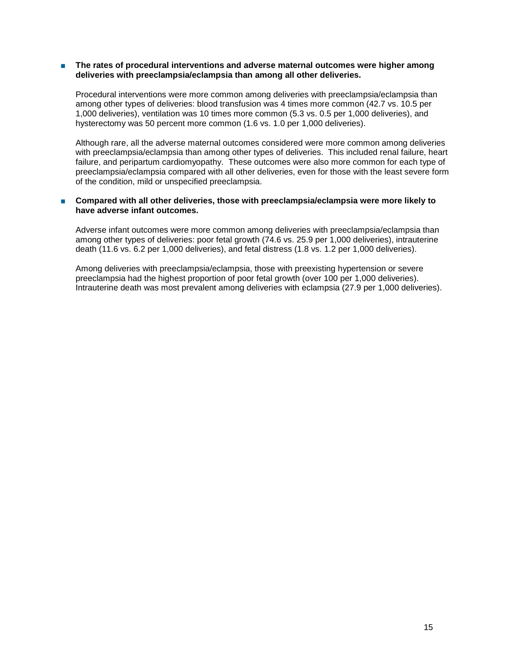#### ■ **The rates of procedural interventions and adverse maternal outcomes were higher among deliveries with preeclampsia/eclampsia than among all other deliveries.**

Procedural interventions were more common among deliveries with preeclampsia/eclampsia than among other types of deliveries: blood transfusion was 4 times more common (42.7 vs. 10.5 per 1,000 deliveries), ventilation was 10 times more common (5.3 vs. 0.5 per 1,000 deliveries), and hysterectomy was 50 percent more common (1.6 vs. 1.0 per 1,000 deliveries).

Although rare, all the adverse maternal outcomes considered were more common among deliveries with preeclampsia/eclampsia than among other types of deliveries. This included renal failure, heart failure, and peripartum cardiomyopathy. These outcomes were also more common for each type of preeclampsia/eclampsia compared with all other deliveries, even for those with the least severe form of the condition, mild or unspecified preeclampsia.

#### ■ Compared with all other deliveries, those with preeclampsia/eclampsia were more likely to **have adverse infant outcomes.**

Adverse infant outcomes were more common among deliveries with preeclampsia/eclampsia than among other types of deliveries: poor fetal growth (74.6 vs. 25.9 per 1,000 deliveries), intrauterine death (11.6 vs. 6.2 per 1,000 deliveries), and fetal distress (1.8 vs. 1.2 per 1,000 deliveries).

Among deliveries with preeclampsia/eclampsia, those with preexisting hypertension or severe preeclampsia had the highest proportion of poor fetal growth (over 100 per 1,000 deliveries). Intrauterine death was most prevalent among deliveries with eclampsia (27.9 per 1,000 deliveries).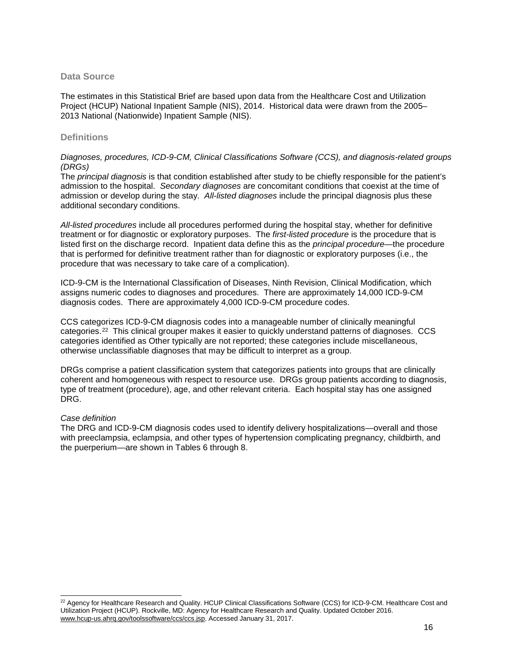#### **Data Source**

The estimates in this Statistical Brief are based upon data from the Healthcare Cost and Utilization Project (HCUP) National Inpatient Sample (NIS), 2014. Historical data were drawn from the 2005– 2013 National (Nationwide) Inpatient Sample (NIS).

# **Definitions**

#### *Diagnoses, procedures, ICD-9-CM, Clinical Classifications Software (CCS), and diagnosis-related groups (DRGs)*

The *principal diagnosis* is that condition established after study to be chiefly responsible for the patient's admission to the hospital. *Secondary diagnoses* are concomitant conditions that coexist at the time of admission or develop during the stay. *All-listed diagnoses* include the principal diagnosis plus these additional secondary conditions.

*All-listed procedures* include all procedures performed during the hospital stay, whether for definitive treatment or for diagnostic or exploratory purposes. The *first-listed procedure* is the procedure that is listed first on the discharge record. Inpatient data define this as the *principal procedure*—the procedure that is performed for definitive treatment rather than for diagnostic or exploratory purposes (i.e., the procedure that was necessary to take care of a complication).

ICD-9-CM is the International Classification of Diseases, Ninth Revision, Clinical Modification, which assigns numeric codes to diagnoses and procedures. There are approximately 14,000 ICD-9-CM diagnosis codes. There are approximately 4,000 ICD-9-CM procedure codes.

CCS categorizes ICD-9-CM diagnosis codes into a manageable number of clinically meaningful categories.[22](#page-15-0) This clinical grouper makes it easier to quickly understand patterns of diagnoses. CCS categories identified as Other typically are not reported; these categories include miscellaneous, otherwise unclassifiable diagnoses that may be difficult to interpret as a group.

DRGs comprise a patient classification system that categorizes patients into groups that are clinically coherent and homogeneous with respect to resource use. DRGs group patients according to diagnosis, type of treatment (procedure), age, and other relevant criteria. Each hospital stay has one assigned DRG.

#### *Case definition*

The DRG and ICD-9-CM diagnosis codes used to identify delivery hospitalizations—overall and those with preeclampsia, eclampsia, and other types of hypertension complicating pregnancy, childbirth, and the puerperium—are shown in Tables 6 through 8.

<span id="page-15-0"></span><sup>&</sup>lt;sup>22</sup> Agency for Healthcare Research and Quality. HCUP Clinical Classifications Software (CCS) for ICD-9-CM. Healthcare Cost and Utilization Project (HCUP). Rockville, MD: Agency for Healthcare Research and Quality. Updated October 2016. [www.hcup-us.ahrq.gov/toolssoftware/ccs/ccs.jsp.](http://www.hcup-us.ahrq.gov/toolssoftware/ccs/ccs.jsp) Accessed January 31, 2017.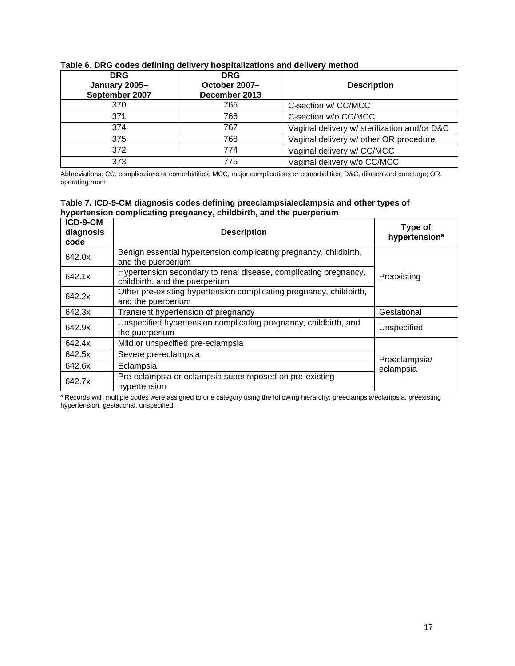| <b>DRG</b><br>January 2005-<br>September 2007 | <b>DRG</b><br>October 2007-<br>December 2013 | <b>Description</b>                           |
|-----------------------------------------------|----------------------------------------------|----------------------------------------------|
| 370                                           | 765                                          | C-section w/ CC/MCC                          |
| 371                                           | 766                                          | C-section w/o CC/MCC                         |
| 374                                           | 767                                          | Vaginal delivery w/ sterilization and/or D&C |
| 375                                           | 768                                          | Vaginal delivery w/ other OR procedure       |
| 372                                           | 774                                          | Vaginal delivery w/ CC/MCC                   |
| 373                                           | 775                                          | Vaginal delivery w/o CC/MCC                  |

# **Table 6. DRG codes defining delivery hospitalizations and delivery method**

Abbreviations: CC, complications or comorbidities; MCC, major complications or comorbidities; D&C, dilation and curettage; OR, operating room

|                    | Table 7. ICD-9-CM diagnosis codes defining preeclampsia/eclampsia and other types of |  |
|--------------------|--------------------------------------------------------------------------------------|--|
|                    | hypertension complicating pregnancy, childbirth, and the puerperium                  |  |
| $\overline{10000}$ |                                                                                      |  |

| ICD-9-CM<br>diagnosis<br>code | <b>Description</b>                                                                                 | Type of<br>hypertension <sup>a</sup> |
|-------------------------------|----------------------------------------------------------------------------------------------------|--------------------------------------|
| 642.0x                        | Benign essential hypertension complicating pregnancy, childbirth,<br>and the puerperium            |                                      |
| 642.1x                        | Hypertension secondary to renal disease, complicating pregnancy,<br>childbirth, and the puerperium | Preexisting                          |
| 642.2x                        | Other pre-existing hypertension complicating pregnancy, childbirth,<br>and the puerperium          |                                      |
| 642.3x                        | Transient hypertension of pregnancy                                                                | Gestational                          |
| 642.9x                        | Unspecified hypertension complicating pregnancy, childbirth, and<br>the puerperium                 | Unspecified                          |
| 642.4x                        | Mild or unspecified pre-eclampsia                                                                  |                                      |
| 642.5x                        | Severe pre-eclampsia                                                                               | Preeclampsia/                        |
| 642.6x                        | Eclampsia                                                                                          | eclampsia                            |
| 642.7x                        | Pre-eclampsia or eclampsia superimposed on pre-existing<br>hypertension                            |                                      |

**<sup>a</sup>** Records with multiple codes were assigned to one category using the following hierarchy: preeclampsia/eclampsia, preexisting hypertension, gestational, unspecified.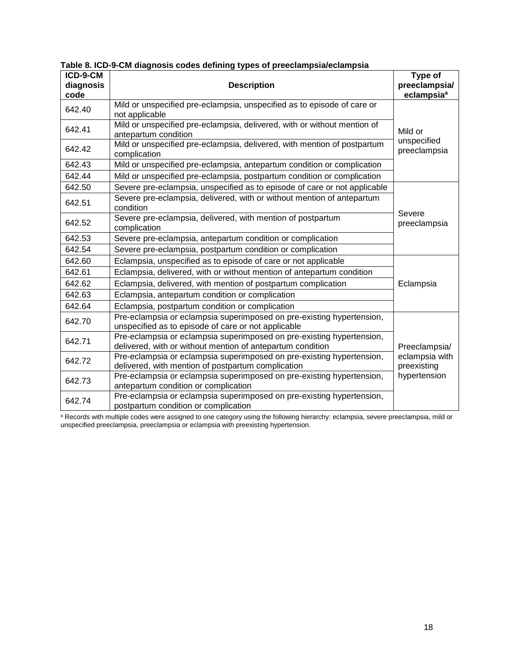| ICD-9-CM  |                                                                                                                                     | Type of                       |
|-----------|-------------------------------------------------------------------------------------------------------------------------------------|-------------------------------|
| diagnosis | <b>Description</b>                                                                                                                  | preeclampsia/                 |
| code      |                                                                                                                                     | eclampsia <sup>a</sup>        |
| 642.40    | Mild or unspecified pre-eclampsia, unspecified as to episode of care or<br>not applicable                                           |                               |
| 642.41    | Mild or unspecified pre-eclampsia, delivered, with or without mention of<br>antepartum condition                                    | Mild or                       |
| 642.42    | Mild or unspecified pre-eclampsia, delivered, with mention of postpartum<br>complication                                            | unspecified<br>preeclampsia   |
| 642.43    | Mild or unspecified pre-eclampsia, antepartum condition or complication                                                             |                               |
| 642.44    | Mild or unspecified pre-eclampsia, postpartum condition or complication                                                             |                               |
| 642.50    | Severe pre-eclampsia, unspecified as to episode of care or not applicable                                                           |                               |
| 642.51    | Severe pre-eclampsia, delivered, with or without mention of antepartum<br>condition                                                 |                               |
| 642.52    | Severe pre-eclampsia, delivered, with mention of postpartum<br>complication                                                         | Severe<br>preeclampsia        |
| 642.53    | Severe pre-eclampsia, antepartum condition or complication                                                                          |                               |
| 642.54    | Severe pre-eclampsia, postpartum condition or complication                                                                          |                               |
| 642.60    | Eclampsia, unspecified as to episode of care or not applicable                                                                      |                               |
| 642.61    | Eclampsia, delivered, with or without mention of antepartum condition                                                               |                               |
| 642.62    | Eclampsia, delivered, with mention of postpartum complication                                                                       | Eclampsia                     |
| 642.63    | Eclampsia, antepartum condition or complication                                                                                     |                               |
| 642.64    | Eclampsia, postpartum condition or complication                                                                                     |                               |
| 642.70    | Pre-eclampsia or eclampsia superimposed on pre-existing hypertension,<br>unspecified as to episode of care or not applicable        |                               |
| 642.71    | Pre-eclampsia or eclampsia superimposed on pre-existing hypertension,<br>delivered, with or without mention of antepartum condition | Preeclampsia/                 |
| 642.72    | Pre-eclampsia or eclampsia superimposed on pre-existing hypertension,<br>delivered, with mention of postpartum complication         | eclampsia with<br>preexisting |
| 642.73    | Pre-eclampsia or eclampsia superimposed on pre-existing hypertension,<br>antepartum condition or complication                       | hypertension                  |
| 642.74    | Pre-eclampsia or eclampsia superimposed on pre-existing hypertension,<br>postpartum condition or complication                       |                               |

**Table 8. ICD-9-CM diagnosis codes defining types of preeclampsia/eclampsia**

<sup>a</sup> Records with multiple codes were assigned to one category using the following hierarchy: eclampsia, severe preeclampsia, mild or unspecified preeclampsia, preeclampsia or eclampsia with preexisting hypertension.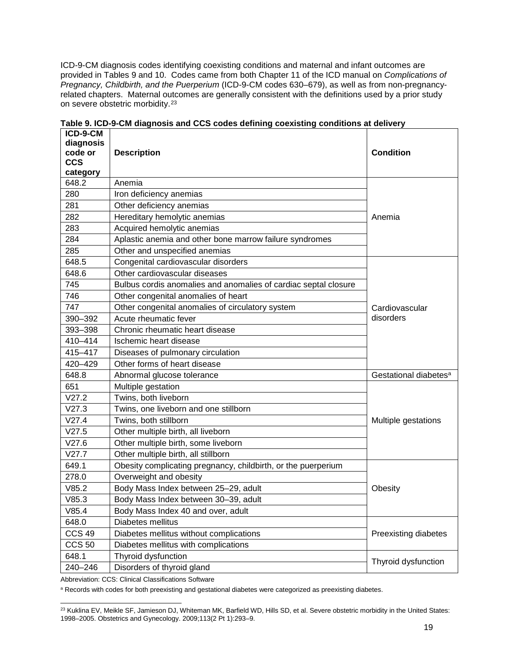ICD-9-CM diagnosis codes identifying coexisting conditions and maternal and infant outcomes are provided in Tables 9 and 10. Codes came from both Chapter 11 of the ICD manual on *Complications of Pregnancy, Childbirth, and the Puerperium* (ICD-9-CM codes 630–679), as well as from non-pregnancyrelated chapters. Maternal outcomes are generally consistent with the definitions used by a prior study on severe obstetric morbidity.[23](#page-18-0)

| ICD-9-CM<br>diagnosis<br>code or<br><b>CCS</b><br>category | <b>Description</b>                                              | <b>Condition</b>                  |
|------------------------------------------------------------|-----------------------------------------------------------------|-----------------------------------|
| 648.2                                                      | Anemia                                                          |                                   |
| 280                                                        | Iron deficiency anemias                                         |                                   |
| 281                                                        | Other deficiency anemias                                        |                                   |
| 282                                                        | Hereditary hemolytic anemias                                    | Anemia                            |
| 283                                                        | Acquired hemolytic anemias                                      |                                   |
| 284                                                        | Aplastic anemia and other bone marrow failure syndromes         |                                   |
| 285                                                        | Other and unspecified anemias                                   |                                   |
| 648.5                                                      | Congenital cardiovascular disorders                             |                                   |
| 648.6                                                      | Other cardiovascular diseases                                   |                                   |
| 745                                                        | Bulbus cordis anomalies and anomalies of cardiac septal closure |                                   |
| 746                                                        | Other congenital anomalies of heart                             |                                   |
| 747                                                        | Other congenital anomalies of circulatory system                | Cardiovascular                    |
| 390-392                                                    | Acute rheumatic fever                                           | disorders                         |
| 393-398                                                    | Chronic rheumatic heart disease                                 |                                   |
| 410-414                                                    | Ischemic heart disease                                          |                                   |
| 415-417                                                    | Diseases of pulmonary circulation                               |                                   |
| 420-429                                                    | Other forms of heart disease                                    |                                   |
| 648.8                                                      | Abnormal glucose tolerance                                      | Gestational diabetes <sup>a</sup> |
| 651                                                        | Multiple gestation                                              |                                   |
| V27.2                                                      | Twins, both liveborn                                            |                                   |
| V27.3                                                      | Twins, one liveborn and one stillborn                           |                                   |
| V27.4                                                      | Twins, both stillborn                                           | Multiple gestations               |
| V27.5                                                      | Other multiple birth, all liveborn                              |                                   |
| V27.6                                                      | Other multiple birth, some liveborn                             |                                   |
| V27.7                                                      | Other multiple birth, all stillborn                             |                                   |
| 649.1                                                      | Obesity complicating pregnancy, childbirth, or the puerperium   |                                   |
| 278.0                                                      | Overweight and obesity                                          |                                   |
| V85.2                                                      | Body Mass Index between 25-29, adult                            | Obesity                           |
| V85.3                                                      | Body Mass Index between 30-39, adult                            |                                   |
| V85.4                                                      | Body Mass Index 40 and over, adult                              |                                   |
| 648.0                                                      | Diabetes mellitus                                               |                                   |
| <b>CCS 49</b>                                              | Diabetes mellitus without complications                         | Preexisting diabetes              |
| <b>CCS 50</b>                                              | Diabetes mellitus with complications                            |                                   |
| 648.1                                                      | Thyroid dysfunction                                             | Thyroid dysfunction               |
| 240-246                                                    | Disorders of thyroid gland                                      |                                   |

**Table 9. ICD-9-CM diagnosis and CCS codes defining coexisting conditions at delivery**

Abbreviation: CCS: Clinical Classifications Software

a Records with codes for both preexisting and gestational diabetes were categorized as preexisting diabetes.

<span id="page-18-0"></span><sup>&</sup>lt;sup>23</sup> Kuklina EV, Meikle SF, Jamieson DJ, Whiteman MK, Barfield WD, Hills SD, et al. Severe obstetric morbidity in the United States: 1998–2005. Obstetrics and Gynecology. 2009;113(2 Pt 1):293–9.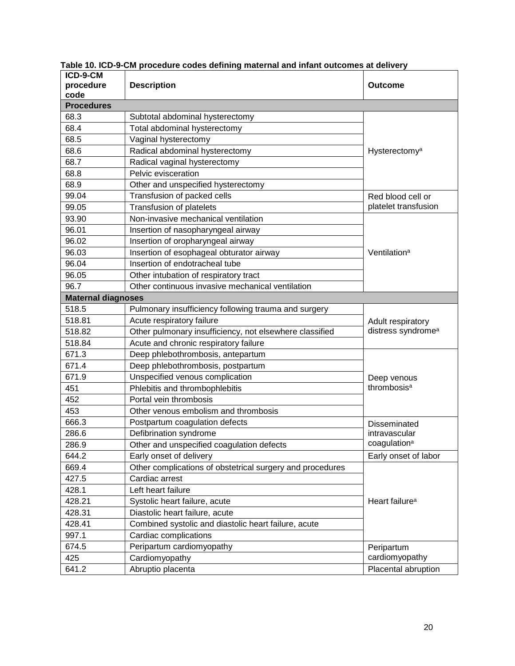| ICD-9-CM                  |                                                           |                                           |
|---------------------------|-----------------------------------------------------------|-------------------------------------------|
| procedure                 | <b>Description</b>                                        | <b>Outcome</b>                            |
| code<br><b>Procedures</b> |                                                           |                                           |
| 68.3                      |                                                           |                                           |
| 68.4                      | Subtotal abdominal hysterectomy                           |                                           |
|                           | Total abdominal hysterectomy                              |                                           |
| 68.5<br>68.6              | Vaginal hysterectomy                                      |                                           |
| 68.7                      | Radical abdominal hysterectomy                            | Hysterectomy <sup>a</sup>                 |
|                           | Radical vaginal hysterectomy<br>Pelvic evisceration       |                                           |
| 68.8                      |                                                           |                                           |
| 68.9                      | Other and unspecified hysterectomy                        |                                           |
| 99.04                     | Transfusion of packed cells                               | Red blood cell or<br>platelet transfusion |
| 99.05                     | Transfusion of platelets                                  |                                           |
| 93.90                     | Non-invasive mechanical ventilation                       |                                           |
| 96.01                     | Insertion of nasopharyngeal airway                        |                                           |
| 96.02                     | Insertion of oropharyngeal airway                         |                                           |
| 96.03                     | Insertion of esophageal obturator airway                  | Ventilation <sup>a</sup>                  |
| 96.04                     | Insertion of endotracheal tube                            |                                           |
| 96.05                     | Other intubation of respiratory tract                     |                                           |
| 96.7                      | Other continuous invasive mechanical ventilation          |                                           |
| <b>Maternal diagnoses</b> |                                                           |                                           |
| 518.5                     | Pulmonary insufficiency following trauma and surgery      | Adult respiratory                         |
| 518.81                    | Acute respiratory failure                                 |                                           |
| 518.82                    | Other pulmonary insufficiency, not elsewhere classified   | distress syndrome <sup>a</sup>            |
| 518.84                    | Acute and chronic respiratory failure                     |                                           |
| 671.3                     | Deep phlebothrombosis, antepartum                         |                                           |
| 671.4                     | Deep phlebothrombosis, postpartum                         | Deep venous<br>thrombosis <sup>a</sup>    |
| 671.9                     | Unspecified venous complication                           |                                           |
| 451                       | Phlebitis and thrombophlebitis                            |                                           |
| 452                       | Portal vein thrombosis                                    |                                           |
| 453                       | Other venous embolism and thrombosis                      |                                           |
| 666.3                     | Postpartum coagulation defects                            | Disseminated                              |
| 286.6                     | Defibrination syndrome                                    | intravascular                             |
| 286.9                     | Other and unspecified coagulation defects                 | coagulation <sup>a</sup>                  |
| 644.2                     | Early onset of delivery                                   | Early onset of labor                      |
| 669.4                     | Other complications of obstetrical surgery and procedures |                                           |
| 427.5                     | Cardiac arrest                                            |                                           |
| 428.1                     | Left heart failure                                        |                                           |
| 428.21                    | Systolic heart failure, acute                             | Heart failure <sup>a</sup>                |
| 428.31                    | Diastolic heart failure, acute                            |                                           |
| 428.41                    | Combined systolic and diastolic heart failure, acute      |                                           |
| 997.1                     | Cardiac complications                                     |                                           |
| 674.5                     | Peripartum cardiomyopathy                                 | Peripartum                                |
| 425                       | Cardiomyopathy                                            | cardiomyopathy                            |
| 641.2                     | Abruptio placenta                                         | Placental abruption                       |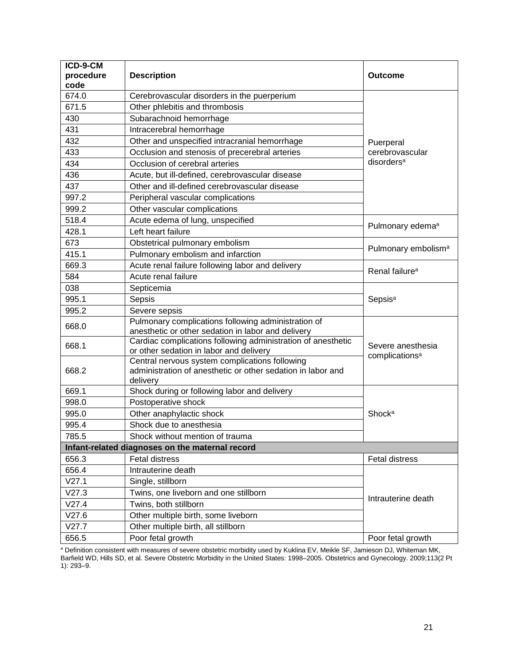| ICD-9-CM                                        |                                                                                                         |                                                        |
|-------------------------------------------------|---------------------------------------------------------------------------------------------------------|--------------------------------------------------------|
| procedure<br>code                               | <b>Description</b>                                                                                      | Outcome                                                |
| 674.0                                           | Cerebrovascular disorders in the puerperium                                                             |                                                        |
| 671.5                                           | Other phlebitis and thrombosis                                                                          |                                                        |
| 430                                             | Subarachnoid hemorrhage                                                                                 |                                                        |
| 431                                             | Intracerebral hemorrhage                                                                                |                                                        |
| 432                                             | Other and unspecified intracranial hemorrhage                                                           | Puerperal<br>cerebrovascular<br>disorders <sup>a</sup> |
| 433                                             | Occlusion and stenosis of precerebral arteries                                                          |                                                        |
| 434                                             | Occlusion of cerebral arteries                                                                          |                                                        |
|                                                 |                                                                                                         |                                                        |
| 436                                             | Acute, but ill-defined, cerebrovascular disease                                                         |                                                        |
| 437                                             | Other and ill-defined cerebrovascular disease                                                           |                                                        |
| 997.2                                           | Peripheral vascular complications                                                                       |                                                        |
| 999.2                                           | Other vascular complications                                                                            |                                                        |
| 518.4                                           | Acute edema of lung, unspecified                                                                        | Pulmonary edema <sup>a</sup>                           |
| 428.1                                           | Left heart failure                                                                                      |                                                        |
| 673                                             | Obstetrical pulmonary embolism                                                                          | Pulmonary embolism <sup>a</sup>                        |
| 415.1                                           | Pulmonary embolism and infarction                                                                       |                                                        |
| 669.3                                           | Acute renal failure following labor and delivery                                                        | Renal failure <sup>a</sup>                             |
| 584                                             | Acute renal failure                                                                                     |                                                        |
| 038                                             | Septicemia                                                                                              | Sepsis <sup>a</sup>                                    |
| 995.1                                           | Sepsis                                                                                                  |                                                        |
| 995.2                                           | Severe sepsis                                                                                           |                                                        |
| 668.0                                           | Pulmonary complications following administration of                                                     | Severe anesthesia<br>complications <sup>a</sup>        |
|                                                 | anesthetic or other sedation in labor and delivery                                                      |                                                        |
| 668.1                                           | Cardiac complications following administration of anesthetic<br>or other sedation in labor and delivery |                                                        |
|                                                 | Central nervous system complications following                                                          |                                                        |
| 668.2                                           | administration of anesthetic or other sedation in labor and                                             |                                                        |
|                                                 | delivery                                                                                                |                                                        |
| 669.1                                           | Shock during or following labor and delivery                                                            |                                                        |
| 998.0                                           | Postoperative shock                                                                                     | Shocka                                                 |
| 995.0                                           | Other anaphylactic shock                                                                                |                                                        |
| 995.4                                           | Shock due to anesthesia                                                                                 |                                                        |
| 785.5                                           | Shock without mention of trauma                                                                         |                                                        |
| Infant-related diagnoses on the maternal record |                                                                                                         |                                                        |
| 656.3                                           | <b>Fetal distress</b>                                                                                   | <b>Fetal distress</b>                                  |
| 656.4                                           | Intrauterine death                                                                                      | Intrauterine death                                     |
| V27.1                                           | Single, stillborn                                                                                       |                                                        |
| V27.3                                           | Twins, one liveborn and one stillborn                                                                   |                                                        |
| V27.4                                           | Twins, both stillborn                                                                                   |                                                        |
| V27.6                                           | Other multiple birth, some liveborn                                                                     |                                                        |
| V27.7                                           | Other multiple birth, all stillborn                                                                     |                                                        |
| 656.5                                           | Poor fetal growth                                                                                       | Poor fetal growth                                      |

<sup>a</sup> Definition consistent with measures of severe obstetric morbidity used by Kuklina EV, Meikle SF, Jamieson DJ, Whiteman MK, Barfield WD, Hills SD, et al. Severe Obstetric Morbidity in the United States: 1998–2005. Obstetrics and Gynecology. 2009;113(2 Pt 1): 293–9.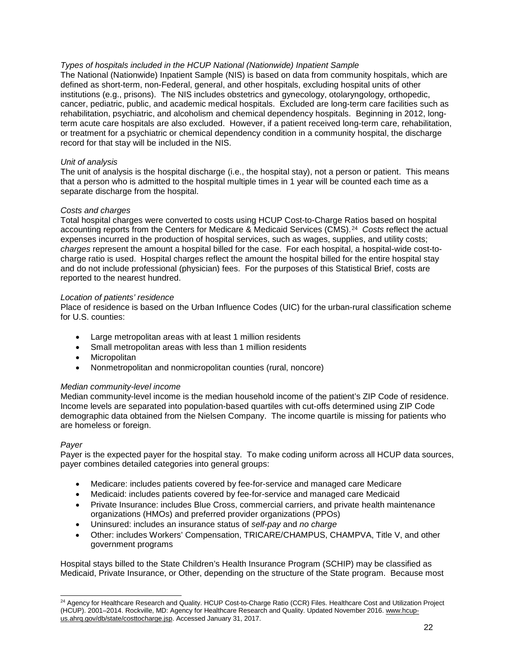# *Types of hospitals included in the HCUP National (Nationwide) Inpatient Sample*

The National (Nationwide) Inpatient Sample (NIS) is based on data from community hospitals, which are defined as short-term, non-Federal, general, and other hospitals, excluding hospital units of other institutions (e.g., prisons). The NIS includes obstetrics and gynecology, otolaryngology, orthopedic, cancer, pediatric, public, and academic medical hospitals. Excluded are long-term care facilities such as rehabilitation, psychiatric, and alcoholism and chemical dependency hospitals. Beginning in 2012, longterm acute care hospitals are also excluded. However, if a patient received long-term care, rehabilitation, or treatment for a psychiatric or chemical dependency condition in a community hospital, the discharge record for that stay will be included in the NIS.

#### *Unit of analysis*

The unit of analysis is the hospital discharge (i.e., the hospital stay), not a person or patient. This means that a person who is admitted to the hospital multiple times in 1 year will be counted each time as a separate discharge from the hospital.

#### *Costs and charges*

Total hospital charges were converted to costs using HCUP Cost-to-Charge Ratios based on hospital accounting reports from the Centers for Medicare & Medicaid Services (CMS).[24](#page-21-0) *Costs* reflect the actual expenses incurred in the production of hospital services, such as wages, supplies, and utility costs; *charges* represent the amount a hospital billed for the case. For each hospital, a hospital-wide cost-tocharge ratio is used. Hospital charges reflect the amount the hospital billed for the entire hospital stay and do not include professional (physician) fees. For the purposes of this Statistical Brief, costs are reported to the nearest hundred.

#### *Location of patients' residence*

Place of residence is based on the Urban Influence Codes (UIC) for the urban-rural classification scheme for U.S. counties:

- Large metropolitan areas with at least 1 million residents
- Small metropolitan areas with less than 1 million residents
- **Micropolitan**
- Nonmetropolitan and nonmicropolitan counties (rural, noncore)

#### *Median community-level income*

Median community-level income is the median household income of the patient's ZIP Code of residence. Income levels are separated into population-based quartiles with cut-offs determined using ZIP Code demographic data obtained from the Nielsen Company. The income quartile is missing for patients who are homeless or foreign.

#### *Payer*

Payer is the expected payer for the hospital stay. To make coding uniform across all HCUP data sources, payer combines detailed categories into general groups:

- Medicare: includes patients covered by fee-for-service and managed care Medicare
- Medicaid: includes patients covered by fee-for-service and managed care Medicaid
- Private Insurance: includes Blue Cross, commercial carriers, and private health maintenance organizations (HMOs) and preferred provider organizations (PPOs)
- Uninsured: includes an insurance status of *self-pay* and *no charge*
- Other: includes Workers' Compensation, TRICARE/CHAMPUS, CHAMPVA, Title V, and other government programs

Hospital stays billed to the State Children's Health Insurance Program (SCHIP) may be classified as Medicaid, Private Insurance, or Other, depending on the structure of the State program. Because most

<span id="page-21-0"></span><sup>&</sup>lt;sup>24</sup> Agency for Healthcare Research and Quality. HCUP Cost-to-Charge Ratio (CCR) Files. Healthcare Cost and Utilization Project (HCUP). 2001–2014. Rockville, MD: Agency for Healthcare Research and Quality. Updated November 2016. [www.hcup](http://www.hcup-us.ahrq.gov/db/state/costtocharge.jsp)[us.ahrq.gov/db/state/costtocharge.jsp.](http://www.hcup-us.ahrq.gov/db/state/costtocharge.jsp) Accessed January 31, 2017.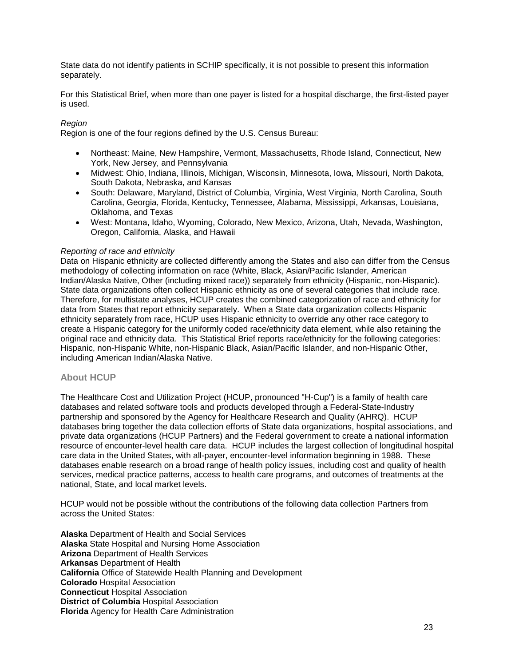State data do not identify patients in SCHIP specifically, it is not possible to present this information separately.

For this Statistical Brief, when more than one payer is listed for a hospital discharge, the first-listed payer is used.

# *Region*

Region is one of the four regions defined by the U.S. Census Bureau:

- Northeast: Maine, New Hampshire, Vermont, Massachusetts, Rhode Island, Connecticut, New York, New Jersey, and Pennsylvania
- Midwest: Ohio, Indiana, Illinois, Michigan, Wisconsin, Minnesota, Iowa, Missouri, North Dakota, South Dakota, Nebraska, and Kansas
- South: Delaware, Maryland, District of Columbia, Virginia, West Virginia, North Carolina, South Carolina, Georgia, Florida, Kentucky, Tennessee, Alabama, Mississippi, Arkansas, Louisiana, Oklahoma, and Texas
- West: Montana, Idaho, Wyoming, Colorado, New Mexico, Arizona, Utah, Nevada, Washington, Oregon, California, Alaska, and Hawaii

#### *Reporting of race and ethnicity*

Data on Hispanic ethnicity are collected differently among the States and also can differ from the Census methodology of collecting information on race (White, Black, Asian/Pacific Islander, American Indian/Alaska Native, Other (including mixed race)) separately from ethnicity (Hispanic, non-Hispanic). State data organizations often collect Hispanic ethnicity as one of several categories that include race. Therefore, for multistate analyses, HCUP creates the combined categorization of race and ethnicity for data from States that report ethnicity separately. When a State data organization collects Hispanic ethnicity separately from race, HCUP uses Hispanic ethnicity to override any other race category to create a Hispanic category for the uniformly coded race/ethnicity data element, while also retaining the original race and ethnicity data. This Statistical Brief reports race/ethnicity for the following categories: Hispanic, non-Hispanic White, non-Hispanic Black, Asian/Pacific Islander, and non-Hispanic Other, including American Indian/Alaska Native.

#### **About HCUP**

The Healthcare Cost and Utilization Project (HCUP, pronounced "H-Cup") is a family of health care databases and related software tools and products developed through a Federal-State-Industry partnership and sponsored by the Agency for Healthcare Research and Quality (AHRQ). HCUP databases bring together the data collection efforts of State data organizations, hospital associations, and private data organizations (HCUP Partners) and the Federal government to create a national information resource of encounter-level health care data. HCUP includes the largest collection of longitudinal hospital care data in the United States, with all-payer, encounter-level information beginning in 1988. These databases enable research on a broad range of health policy issues, including cost and quality of health services, medical practice patterns, access to health care programs, and outcomes of treatments at the national, State, and local market levels.

HCUP would not be possible without the contributions of the following data collection Partners from across the United States:

**Alaska** Department of Health and Social Services **Alaska** State Hospital and Nursing Home Association **Arizona** Department of Health Services **Arkansas** Department of Health **California** Office of Statewide Health Planning and Development **Colorado** Hospital Association **Connecticut** Hospital Association **District of Columbia Hospital Association Florida** Agency for Health Care Administration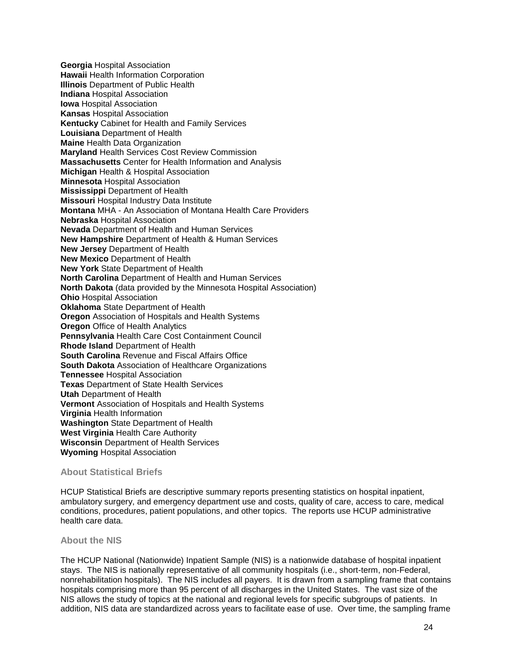**Georgia** Hospital Association **Hawaii** Health Information Corporation **Illinois** Department of Public Health **Indiana** Hospital Association **Iowa** Hospital Association **Kansas** Hospital Association **Kentucky** Cabinet for Health and Family Services **Louisiana** Department of Health **Maine** Health Data Organization **Maryland** Health Services Cost Review Commission **Massachusetts** Center for Health Information and Analysis **Michigan** Health & Hospital Association **Minnesota** Hospital Association **Mississippi** Department of Health **Missouri** Hospital Industry Data Institute **Montana** MHA - An Association of Montana Health Care Providers **Nebraska** Hospital Association **Nevada** Department of Health and Human Services **New Hampshire** Department of Health & Human Services **New Jersey** Department of Health **New Mexico** Department of Health **New York** State Department of Health **North Carolina** Department of Health and Human Services **North Dakota** (data provided by the Minnesota Hospital Association) **Ohio** Hospital Association **Oklahoma** State Department of Health **Oregon** Association of Hospitals and Health Systems **Oregon** Office of Health Analytics **Pennsylvania** Health Care Cost Containment Council **Rhode Island** Department of Health **South Carolina** Revenue and Fiscal Affairs Office **South Dakota** Association of Healthcare Organizations **Tennessee** Hospital Association **Texas** Department of State Health Services **Utah** Department of Health **Vermont** Association of Hospitals and Health Systems **Virginia** Health Information **Washington** State Department of Health **West Virginia** Health Care Authority **Wisconsin** Department of Health Services **Wyoming** Hospital Association

#### **About Statistical Briefs**

HCUP Statistical Briefs are descriptive summary reports presenting statistics on hospital inpatient, ambulatory surgery, and emergency department use and costs, quality of care, access to care, medical conditions, procedures, patient populations, and other topics. The reports use HCUP administrative health care data.

#### **About the NIS**

The HCUP National (Nationwide) Inpatient Sample (NIS) is a nationwide database of hospital inpatient stays. The NIS is nationally representative of all community hospitals (i.e., short-term, non-Federal, nonrehabilitation hospitals). The NIS includes all payers. It is drawn from a sampling frame that contains hospitals comprising more than 95 percent of all discharges in the United States. The vast size of the NIS allows the study of topics at the national and regional levels for specific subgroups of patients. In addition, NIS data are standardized across years to facilitate ease of use. Over time, the sampling frame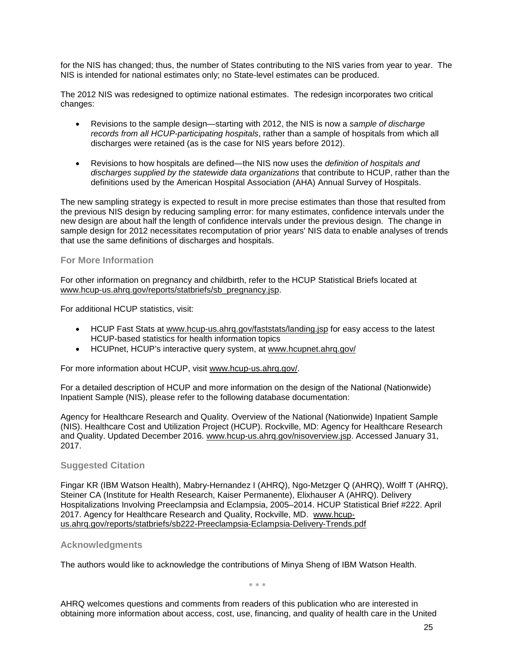for the NIS has changed; thus, the number of States contributing to the NIS varies from year to year. The NIS is intended for national estimates only; no State-level estimates can be produced.

The 2012 NIS was redesigned to optimize national estimates. The redesign incorporates two critical changes:

- Revisions to the sample design—starting with 2012, the NIS is now a *sample of discharge records from all HCUP-participating hospitals*, rather than a sample of hospitals from which all discharges were retained (as is the case for NIS years before 2012).
- Revisions to how hospitals are defined—the NIS now uses the *definition of hospitals and discharges supplied by the statewide data organizations* that contribute to HCUP, rather than the definitions used by the American Hospital Association (AHA) Annual Survey of Hospitals.

The new sampling strategy is expected to result in more precise estimates than those that resulted from the previous NIS design by reducing sampling error: for many estimates, confidence intervals under the new design are about half the length of confidence intervals under the previous design. The change in sample design for 2012 necessitates recomputation of prior years' NIS data to enable analyses of trends that use the same definitions of discharges and hospitals.

# **For More Information**

For other information on pregnancy and childbirth, refer to the HCUP Statistical Briefs located at [www.hcup-us.ahrq.gov/reports/statbriefs/sb\\_pregnancy.jsp.](http://www.hcup-us.ahrq.gov/reports/statbriefs/sb_pregnancy.jsp)

For additional HCUP statistics, visit:

- HCUP Fast Stats at [www.hcup-us.ahrq.gov/faststats/landing.jsp](http://www.hcup-us.ahrq.gov/faststats/landing.jsp) for easy access to the latest HCUP-based statistics for health information topics
- HCUPnet, HCUP's interactive query system, at [www.hcupnet.ahrq.gov/](http://www.hcupnet.ahrq.gov/)

For more information about HCUP, visit [www.hcup-us.ahrq.gov/.](http://www.hcup-us.ahrq.gov/)

For a detailed description of HCUP and more information on the design of the National (Nationwide) Inpatient Sample (NIS), please refer to the following database documentation:

Agency for Healthcare Research and Quality. Overview of the National (Nationwide) Inpatient Sample (NIS). Healthcare Cost and Utilization Project (HCUP). Rockville, MD: Agency for Healthcare Research and Quality. Updated December 2016. [www.hcup-us.ahrq.gov/nisoverview.jsp.](http://www.hcup-us.ahrq.gov/nisoverview.jsp) Accessed January 31, 2017.

#### **Suggested Citation**

Fingar KR (IBM Watson Health), Mabry-Hernandez I (AHRQ), Ngo-Metzger Q (AHRQ), Wolff T (AHRQ), Steiner CA (Institute for Health Research, Kaiser Permanente), Elixhauser A (AHRQ). Delivery Hospitalizations Involving Preeclampsia and Eclampsia, 2005–2014. HCUP Statistical Brief #222. April 2017. Agency for Healthcare Research and Quality, Rockville, MD. [www.hcup](http://www.hcup-us.ahrq.gov/reports/statbriefs/sb222-Preeclampsia-Eclampsia-Delivery-Trends.pdf)[us.ahrq.gov/reports/statbriefs/sb222-Preeclampsia-Eclampsia-Delivery-Trends.pdf](http://www.hcup-us.ahrq.gov/reports/statbriefs/sb222-Preeclampsia-Eclampsia-Delivery-Trends.pdf)

#### **Acknowledgments**

The authors would like to acknowledge the contributions of Minya Sheng of IBM Watson Health.

∗ ∗ ∗

AHRQ welcomes questions and comments from readers of this publication who are interested in obtaining more information about access, cost, use, financing, and quality of health care in the United